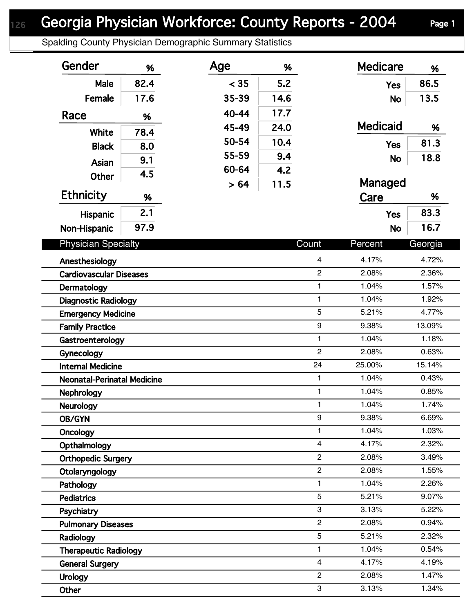## Georgia Physician Workforce: County Reports - 2004 Page 1

Spalding County Physician Demographic Summary Statistics

| Gender                                             | %    | Age   | %     |                | <b>Medicare</b> | %       |
|----------------------------------------------------|------|-------|-------|----------------|-----------------|---------|
| <b>Male</b>                                        | 82.4 | < 35  | 5.2   |                | <b>Yes</b>      | 86.5    |
| Female                                             | 17.6 | 35-39 | 14.6  |                | <b>No</b>       | 13.5    |
| Race                                               |      | 40-44 | 17.7  |                |                 |         |
|                                                    | %    | 45-49 | 24.0  |                | <b>Medicaid</b> | %       |
| White                                              | 78.4 | 50-54 | 10.4  |                |                 | 81.3    |
| <b>Black</b>                                       | 8.0  | 55-59 | 9.4   |                | <b>Yes</b>      |         |
| Asian                                              | 9.1  | 60-64 | 4.2   |                | <b>No</b>       | 18.8    |
| <b>Other</b>                                       | 4.5  |       |       |                | Managed         |         |
| <b>Ethnicity</b>                                   | %    | > 64  | 11.5  |                | Care            | %       |
|                                                    | 2.1  |       |       |                |                 | 83.3    |
| Hispanic                                           |      |       |       |                | <b>Yes</b>      |         |
| Non-Hispanic                                       | 97.9 |       |       |                | <b>No</b>       | 16.7    |
| <b>Physician Specialty</b><br>Count                |      |       |       |                | Percent         | Georgia |
| Anesthesiology                                     |      |       |       | 4              | 4.17%           | 4.72%   |
| $\overline{c}$<br><b>Cardiovascular Diseases</b>   |      |       |       | 2.08%          | 2.36%           |         |
| 1<br>Dermatology                                   |      |       |       | 1.04%          | 1.57%           |         |
| $\mathbf{1}$<br><b>Diagnostic Radiology</b>        |      |       |       | 1.04%          | 1.92%           |         |
| 5<br><b>Emergency Medicine</b>                     |      |       |       | 5.21%          | 4.77%           |         |
| 9<br><b>Family Practice</b>                        |      |       |       | 9.38%          | 13.09%          |         |
| Gastroenterology                                   |      |       |       | $\mathbf{1}$   | 1.04%           | 1.18%   |
| Gynecology                                         |      |       |       | $\overline{2}$ | 2.08%           | 0.63%   |
| 24<br><b>Internal Medicine</b>                     |      |       |       | 25.00%         | 15.14%          |         |
| $\mathbf{1}$<br><b>Neonatal-Perinatal Medicine</b> |      |       |       | 1.04%          | 0.43%           |         |
| $\mathbf{1}$<br><b>Nephrology</b>                  |      |       | 1.04% | 0.85%          |                 |         |
| 1.<br><b>Neurology</b>                             |      |       | 1.04% | 1.74%          |                 |         |
| 9<br>OB/GYN                                        |      |       |       | 9.38%          | 6.69%           |         |
| 1<br>Oncology                                      |      |       |       | 1.04%          | 1.03%           |         |
| $\overline{4}$<br>Opthalmology                     |      |       |       | 4.17%          | 2.32%           |         |
| $\mathbf{2}$<br><b>Orthopedic Surgery</b>          |      |       |       | 2.08%          | 3.49%           |         |
| $\overline{2}$<br>Otolaryngology                   |      |       |       | 2.08%          | 1.55%           |         |
| 1<br>Pathology                                     |      |       |       | 1.04%          | 2.26%           |         |
| <b>Pediatrics</b>                                  |      |       |       | 5              | 5.21%           | 9.07%   |
| Psychiatry                                         |      |       |       | 3              | 3.13%           | 5.22%   |
| $\overline{2}$<br><b>Pulmonary Diseases</b>        |      |       |       | 2.08%          | 0.94%           |         |
| 5<br>Radiology                                     |      |       |       | 5.21%          | 2.32%           |         |
| $\mathbf{1}$<br><b>Therapeutic Radiology</b>       |      |       |       | 1.04%          | 0.54%           |         |
| <b>General Surgery</b>                             |      |       |       | $\overline{4}$ | 4.17%           | 4.19%   |
| <b>Urology</b>                                     |      |       |       | $\overline{c}$ | 2.08%           | 1.47%   |
| Other                                              |      |       |       | 3              | 3.13%           | 1.34%   |